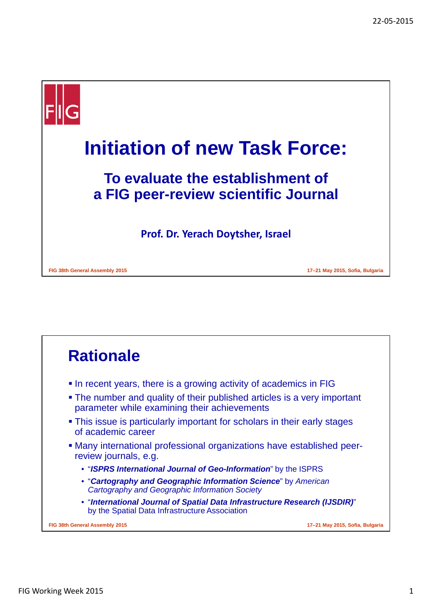

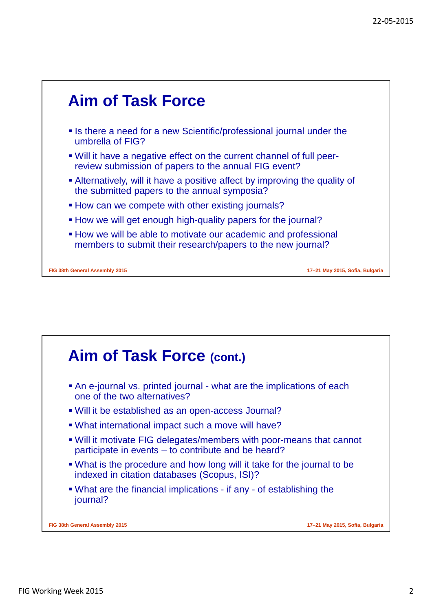

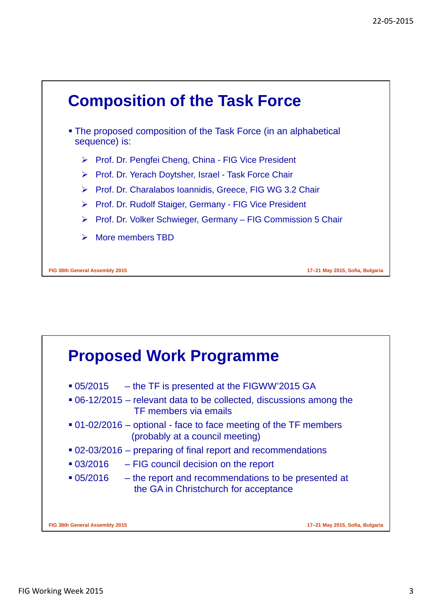